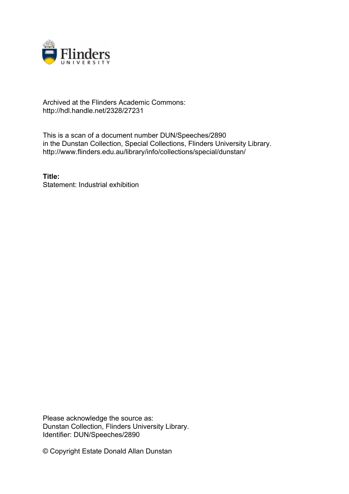

## Archived at the Flinders Academic Commons: http://hdl.handle.net/2328/27231

This is a scan of a document number DUN/Speeches/2890 in the Dunstan Collection, Special Collections, Flinders University Library. http://www.flinders.edu.au/library/info/collections/special/dunstan/

**Title:** Statement: Industrial exhibition

Please acknowledge the source as: Dunstan Collection, Flinders University Library. Identifier: DUN/Speeches/2890

© Copyright Estate Donald Allan Dunstan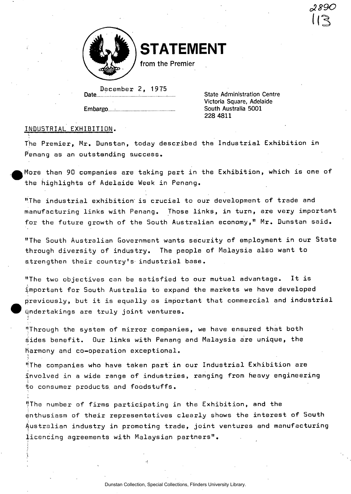

**STATEMENT** 

from the Premier

December *2,* 1975 Date.

Embargo.

State Administration Centre Victoria Square, Adelaide South Australia 5001 228 4811

## INDUSTRIAL EXHIBITION.

The Premier, Mr. Dunstan, today described the Industrial Exhibition in Penang as an outstanding success

More than 90 companies are taking part in the Exhibition, which is one of the highlights of Adelaide Week in Penang.

"The industrial exhibition' is crucial to our development of trade and manufacturing links with Penang. Those links, in turn, are very important for the future growth of the South Australian economy," Mr. Dunstan said.

"The South Australian Government wants security of employment in our State through diversity of industry. The people of Malaysia also want to strengthen their country's industrial base.

"The two objectives can be satisfied to our mutual advantage. It is important for South Australia to expand the markets we have developed previously, but it is equally as important that commercial and industrial undertakings are truly joint ventures.

"Through the system of mirror companies, we have ensured that both sides benefit. Our links with Penang and Malaysia are unique, the Harmony and co-operation exceptional.

''The companies who have taken part in our Industrial Exhibition are involved in a wide range of industries, ranging from heavy engineering to consumer products, and foodstuffs.

HThe number of firms participating in the Exhibition, and the enthusiasm of their representatives clearly shows the interest of South Australian industry in promoting trade, joint ventures and manufacturing licencing agreements with Malaysian partners".